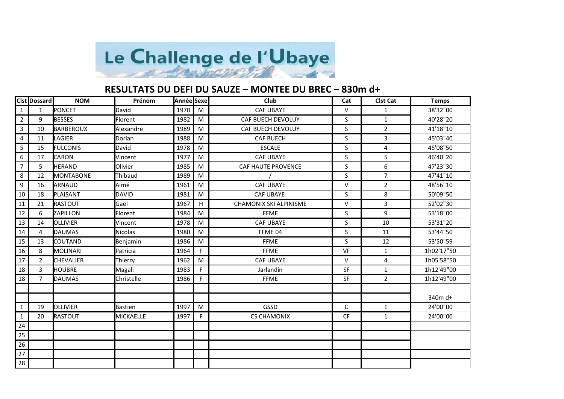

## **RESULTATS DU DEFI DU SAUZE – MONTEE DU BREC – 830m d+**

|                | Clst   Dossard | <b>NOM</b>       | Prénom          | Année Sexe |             | Club                          | Cat       | <b>Clst Cat</b> | <b>Temps</b> |
|----------------|----------------|------------------|-----------------|------------|-------------|-------------------------------|-----------|-----------------|--------------|
| 1              | $\mathbf{1}$   | PONCET           | David           | 1970       | M           | <b>CAF UBAYE</b>              | $\vee$    | 1               | 38'32"00     |
| $\overline{2}$ | 9              | <b>BESSES</b>    | Florent         | 1982       | M           | <b>CAF BUECH DEVOLUY</b>      | S         | $\mathbf{1}$    | 40'28"20     |
| 3              | 10             | BARBEROUX        | Alexandre       | 1989       | M           | CAF BUECH DEVOLUY             | S         | $2^{\circ}$     | 41'18"10     |
| $\overline{4}$ | 11             | LAGIER           | Dorian          | 1988       | M           | <b>CAF BUECH</b>              | S         | 3               | 45'03"40     |
| 5              | 15             | <b>FULCONIS</b>  | David           | 1978       | M           | <b>ESCALE</b>                 | S         | 4               | 45'08"50     |
| 6              | 17             | <b>CARON</b>     | Vincent         | 1977       | M           | <b>CAF UBAYE</b>              | S         | 5               | 46'40"20     |
| $\overline{7}$ | 5              | <b>HERAND</b>    | Olivier         | 1985       | M           | CAF HAUTE PROVENCE            | S         | 6               | 47'23"30     |
| 8              | 12             | MONTABONE        | Thibaud         | 1989       | M           |                               | S         | $\overline{7}$  | 47'41"10     |
| 9              | 16             | ARNAUD           | Aimé            | 1961       | M           | <b>CAF UBAYE</b>              | $\vee$    | $\overline{2}$  | 48'56"10     |
| 10             | 18             | PLAISANT         | <b>DAVID</b>    | 1981       | M           | <b>CAF UBAYE</b>              | S         | 8               | 50'09"50     |
| 11             | 21             | RASTOUT          | Gaël            | 1967       | $\mathsf H$ | <b>CHAMONIX SKI ALPINISME</b> | $\vee$    | 3               | 52'02"30     |
| 12             | 6              | ZAPILLON         | Florent         | 1984       | M           | <b>FFME</b>                   | S.        | 9               | 53'18"00     |
| 13             | 14             | <b>OLLIVIER</b>  | Vincent         | 1978       | M           | <b>CAF UBAYE</b>              | S         | 10              | 53'31"20     |
| 14             | 4              | <b>DAUMAS</b>    | <b>Nicolas</b>  | 1980       | M           | FFME 04                       | S         | 11              | 53'44"50     |
| 15             | 13             | <b>COUTAND</b>   | <b>Benjamin</b> | 1986       | M           | <b>FFME</b>                   | S         | 12              | 53'50"59     |
| 16             | 8              | MOLINARI         | Patricia        | 1964       | F.          | <b>FFME</b>                   | VF        | $\mathbf{1}$    | 1h02'17"50   |
| 17             | $\overline{2}$ | <b>CHEVALIER</b> | Thierry         | 1962       | M           | <b>CAF UBAYE</b>              | $\vee$    | 4               | 1h05'58"50   |
| 18             | 3              | <b>HOUBRE</b>    | Magali          | 1983       | F.          | Jarlandin                     | <b>SF</b> | $\mathbf{1}$    | 1h12'49"00   |
| 18             | $\overline{7}$ | <b>DAUMAS</b>    | Christelle      | 1986       | F.          | <b>FFME</b>                   | SF        | $\overline{2}$  | 1h12'49"00   |
|                |                |                  |                 |            |             |                               |           |                 |              |
|                |                |                  |                 |            |             |                               |           |                 | 340m d+      |
| 1              | 19             | <b>OLLIVIER</b>  | <b>Bastien</b>  | 1997       | M           | GSSD                          | C         | $\mathbf{1}$    | 24'00"00     |
| $\mathbf{1}$   | 20             | <b>RASTOUT</b>   | MICKAELLE       | 1997       | F.          | <b>CS CHAMONIX</b>            | <b>CF</b> | $\mathbf{1}$    | 24'00"00     |
| 24             |                |                  |                 |            |             |                               |           |                 |              |
| 25             |                |                  |                 |            |             |                               |           |                 |              |
| 26             |                |                  |                 |            |             |                               |           |                 |              |
| 27             |                |                  |                 |            |             |                               |           |                 |              |
| 28             |                |                  |                 |            |             |                               |           |                 |              |